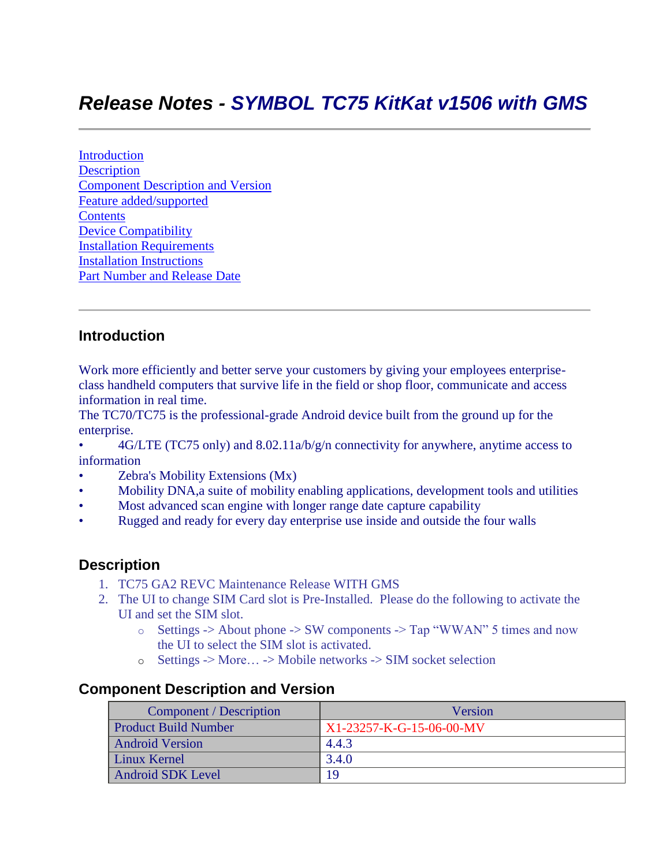# *Release Notes - SYMBOL TC75 KitKat v1506 with GMS*

**[Introduction](#page-0-0) [Description](#page-0-1)** [Component Description and Version](#page-0-2) [Feature added/supported](#page-1-0) **[Contents](#page-3-0)** [Device Compatibility](#page-4-0) [Installation Requirements](#page-4-1) [Installation Instructions](#page-4-2) [Part Number and Release Date](#page-6-0)

### <span id="page-0-0"></span>**Introduction**

Work more efficiently and better serve your customers by giving your employees enterpriseclass handheld computers that survive life in the field or shop floor, communicate and access information in real time.

The TC70/TC75 is the professional-grade Android device built from the ground up for the enterprise.

- 4G/LTE (TC75 only) and 8.02.11a/b/g/n connectivity for anywhere, anytime access to information
- Zebra's Mobility Extensions (Mx)
- Mobility DNA,a suite of mobility enabling applications, development tools and utilities
- Most advanced scan engine with longer range date capture capability
- Rugged and ready for every day enterprise use inside and outside the four walls

### <span id="page-0-1"></span>**Description**

- 1. TC75 GA2 REVC Maintenance Release WITH GMS
- 2. The UI to change SIM Card slot is Pre-Installed. Please do the following to activate the UI and set the SIM slot.
	- $\circ$  Settings -> About phone -> SW components -> Tap "WWAN" 5 times and now the UI to select the SIM slot is activated.
	- o Settings -> More… -> Mobile networks -> SIM socket selection

### <span id="page-0-2"></span>**Component Description and Version**

| Component / Description     | Version                  |
|-----------------------------|--------------------------|
| <b>Product Build Number</b> | X1-23257-K-G-15-06-00-MV |
| <b>Android Version</b>      | 4.4.3                    |
| Linux Kernel                | 3.4.0                    |
| <b>Android SDK Level</b>    | 19                       |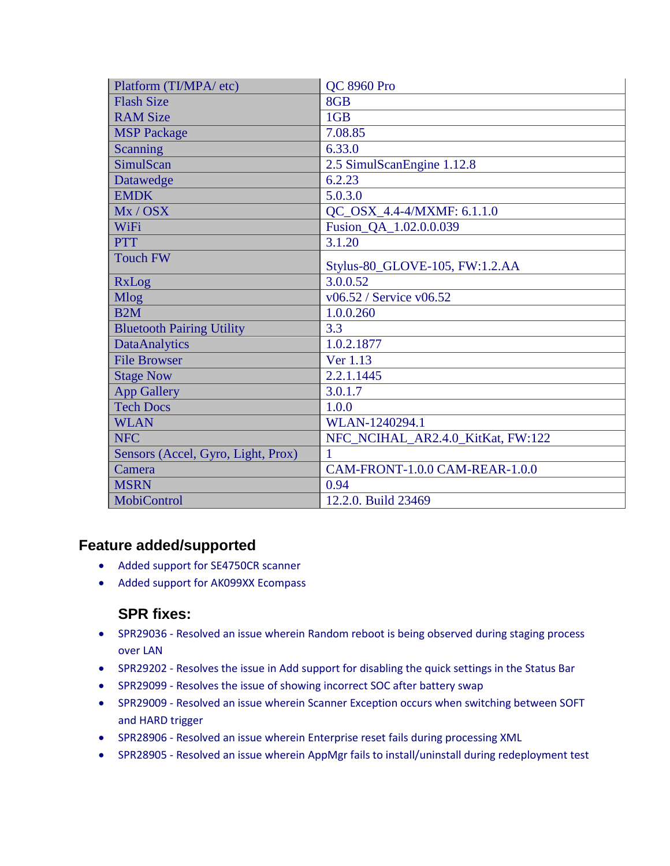| Platform (TI/MPA/ etc)             | <b>QC 8960 Pro</b>                |
|------------------------------------|-----------------------------------|
| <b>Flash Size</b>                  | 8GB                               |
| <b>RAM Size</b>                    | 1GB                               |
| <b>MSP Package</b>                 | 7.08.85                           |
| <b>Scanning</b>                    | 6.33.0                            |
| SimulScan                          | 2.5 SimulScanEngine 1.12.8        |
| Datawedge                          | 6.2.23                            |
| <b>EMDK</b>                        | 5.0.3.0                           |
| Mx / OSX                           | QC_OSX_4.4-4/MXMF: 6.1.1.0        |
| WiFi                               | Fusion_QA_1.02.0.0.039            |
| <b>PTT</b>                         | 3.1.20                            |
| <b>Touch FW</b>                    | Stylus-80_GLOVE-105, FW:1.2.AA    |
| RxLog                              | 3.0.0.52                          |
| <b>Mlog</b>                        | v06.52 / Service v06.52           |
| B2M                                | 1.0.0.260                         |
| <b>Bluetooth Pairing Utility</b>   | 3.3                               |
| <b>DataAnalytics</b>               | 1.0.2.1877                        |
| <b>File Browser</b>                | Ver 1.13                          |
| <b>Stage Now</b>                   | 2.2.1.1445                        |
| <b>App Gallery</b>                 | 3.0.1.7                           |
| <b>Tech Docs</b>                   | 1.0.0                             |
| <b>WLAN</b>                        | WLAN-1240294.1                    |
| <b>NFC</b>                         | NFC_NCIHAL_AR2.4.0_KitKat, FW:122 |
| Sensors (Accel, Gyro, Light, Prox) | 1                                 |
| Camera                             | CAM-FRONT-1.0.0 CAM-REAR-1.0.0    |
| <b>MSRN</b>                        | 0.94                              |
| MobiControl                        | 12.2.0. Build 23469               |

### <span id="page-1-0"></span>**Feature added/supported**

- Added support for SE4750CR scanner
- Added support for AK099XX Ecompass

### **SPR fixes:**

- SPR29036 Resolved an issue wherein Random reboot is being observed during staging process over LAN
- SPR29202 Resolves the issue in Add support for disabling the quick settings in the Status Bar
- SPR29099 Resolves the issue of showing incorrect SOC after battery swap
- SPR29009 Resolved an issue wherein Scanner Exception occurs when switching between SOFT and HARD trigger
- SPR28906 Resolved an issue wherein Enterprise reset fails during processing XML
- SPR28905 Resolved an issue wherein AppMgr fails to install/uninstall during redeployment test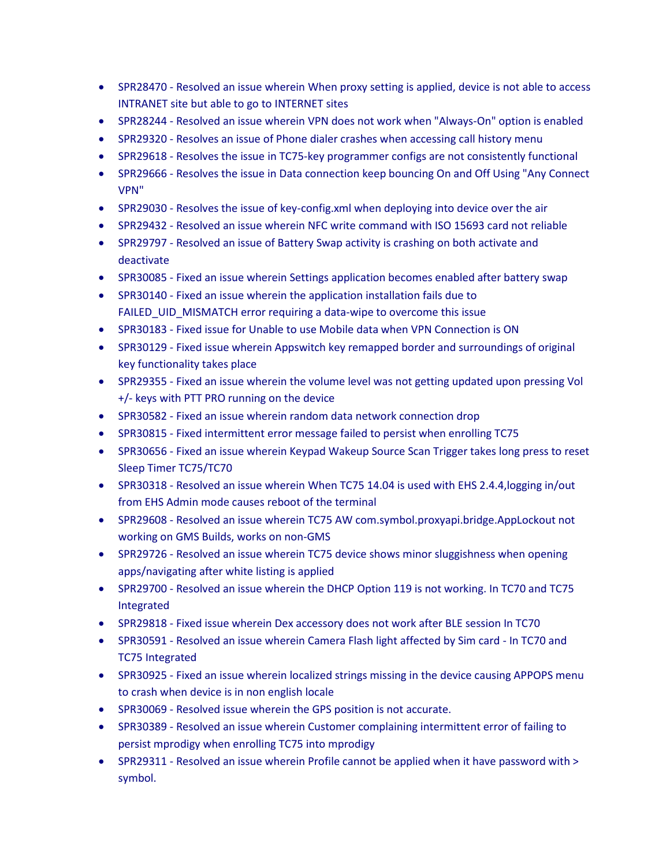- SPR28470 Resolved an issue wherein When proxy setting is applied, device is not able to access INTRANET site but able to go to INTERNET sites
- SPR28244 Resolved an issue wherein VPN does not work when "Always-On" option is enabled
- SPR29320 Resolves an issue of Phone dialer crashes when accessing call history menu
- SPR29618 Resolves the issue in TC75-key programmer configs are not consistently functional
- SPR29666 Resolves the issue in Data connection keep bouncing On and Off Using "Any Connect VPN"
- SPR29030 Resolves the issue of key-config.xml when deploying into device over the air
- SPR29432 Resolved an issue wherein NFC write command with ISO 15693 card not reliable
- SPR29797 Resolved an issue of Battery Swap activity is crashing on both activate and deactivate
- SPR30085 Fixed an issue wherein Settings application becomes enabled after battery swap
- SPR30140 Fixed an issue wherein the application installation fails due to FAILED UID MISMATCH error requiring a data-wipe to overcome this issue
- SPR30183 Fixed issue for Unable to use Mobile data when VPN Connection is ON
- SPR30129 Fixed issue wherein Appswitch key remapped border and surroundings of original key functionality takes place
- SPR29355 Fixed an issue wherein the volume level was not getting updated upon pressing Vol +/- keys with PTT PRO running on the device
- SPR30582 Fixed an issue wherein random data network connection drop
- SPR30815 Fixed intermittent error message failed to persist when enrolling TC75
- SPR30656 Fixed an issue wherein Keypad Wakeup Source Scan Trigger takes long press to reset Sleep Timer TC75/TC70
- SPR30318 Resolved an issue wherein When TC75 14.04 is used with EHS 2.4.4,logging in/out from EHS Admin mode causes reboot of the terminal
- SPR29608 Resolved an issue wherein TC75 AW com.symbol.proxyapi.bridge.AppLockout not working on GMS Builds, works on non-GMS
- SPR29726 Resolved an issue wherein TC75 device shows minor sluggishness when opening apps/navigating after white listing is applied
- SPR29700 Resolved an issue wherein the DHCP Option 119 is not working. In TC70 and TC75 Integrated
- SPR29818 Fixed issue wherein Dex accessory does not work after BLE session In TC70
- SPR30591 Resolved an issue wherein Camera Flash light affected by Sim card In TC70 and TC75 Integrated
- SPR30925 Fixed an issue wherein localized strings missing in the device causing APPOPS menu to crash when device is in non english locale
- SPR30069 Resolved issue wherein the GPS position is not accurate.
- SPR30389 Resolved an issue wherein Customer complaining intermittent error of failing to persist mprodigy when enrolling TC75 into mprodigy
- SPR29311 Resolved an issue wherein Profile cannot be applied when it have password with > symbol.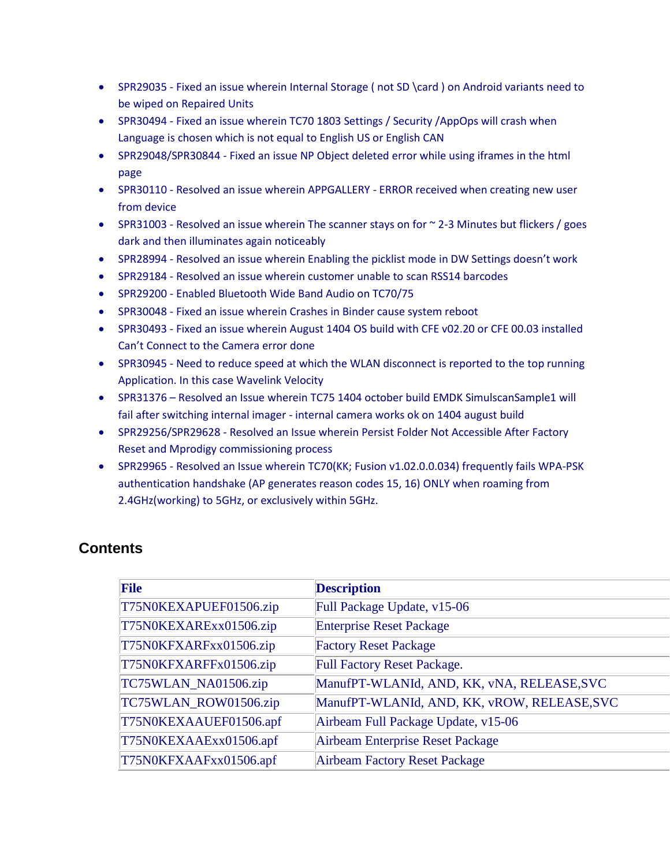- SPR29035 Fixed an issue wherein Internal Storage ( not SD \card ) on Android variants need to be wiped on Repaired Units
- SPR30494 Fixed an issue wherein TC70 1803 Settings / Security / AppOps will crash when Language is chosen which is not equal to English US or English CAN
- SPR29048/SPR30844 Fixed an issue NP Object deleted error while using iframes in the html page
- SPR30110 Resolved an issue wherein APPGALLERY ERROR received when creating new user from device
- SPR31003 Resolved an issue wherein The scanner stays on for  $\sim$  2-3 Minutes but flickers / goes dark and then illuminates again noticeably
- SPR28994 Resolved an issue wherein Enabling the picklist mode in DW Settings doesn't work
- SPR29184 Resolved an issue wherein customer unable to scan RSS14 barcodes
- SPR29200 Enabled Bluetooth Wide Band Audio on TC70/75
- SPR30048 Fixed an issue wherein Crashes in Binder cause system reboot
- SPR30493 Fixed an issue wherein August 1404 OS build with CFE v02.20 or CFE 00.03 installed Can't Connect to the Camera error done
- SPR30945 Need to reduce speed at which the WLAN disconnect is reported to the top running Application. In this case Wavelink Velocity
- SPR31376 Resolved an Issue wherein TC75 1404 october build EMDK SimulscanSample1 will fail after switching internal imager - internal camera works ok on 1404 august build
- SPR29256/SPR29628 Resolved an Issue wherein Persist Folder Not Accessible After Factory Reset and Mprodigy commissioning process
- SPR29965 Resolved an Issue wherein TC70(KK; Fusion v1.02.0.0.034) frequently fails WPA-PSK authentication handshake (AP generates reason codes 15, 16) ONLY when roaming from 2.4GHz(working) to 5GHz, or exclusively within 5GHz.

| File                   | <b>Description</b>                          |
|------------------------|---------------------------------------------|
| T75N0KEXAPUEF01506.zip | Full Package Update, v15-06                 |
| T75N0KEXARExx01506.zip | <b>Enterprise Reset Package</b>             |
| T75N0KFXARFxx01506.zip | <b>Factory Reset Package</b>                |
| T75N0KFXARFFx01506.zip | <b>Full Factory Reset Package.</b>          |
| TC75WLAN_NA01506.zip   | ManufPT-WLANId, AND, KK, vNA, RELEASE, SVC  |
| TC75WLAN_ROW01506.zip  | ManufPT-WLANId, AND, KK, vROW, RELEASE, SVC |
| T75N0KEXAAUEF01506.apf | Airbeam Full Package Update, v15-06         |
| T75N0KEXAAExx01506.apf | Airbeam Enterprise Reset Package            |
| T75N0KFXAAFxx01506.apf | <b>Airbeam Factory Reset Package</b>        |

# <span id="page-3-0"></span>**Contents**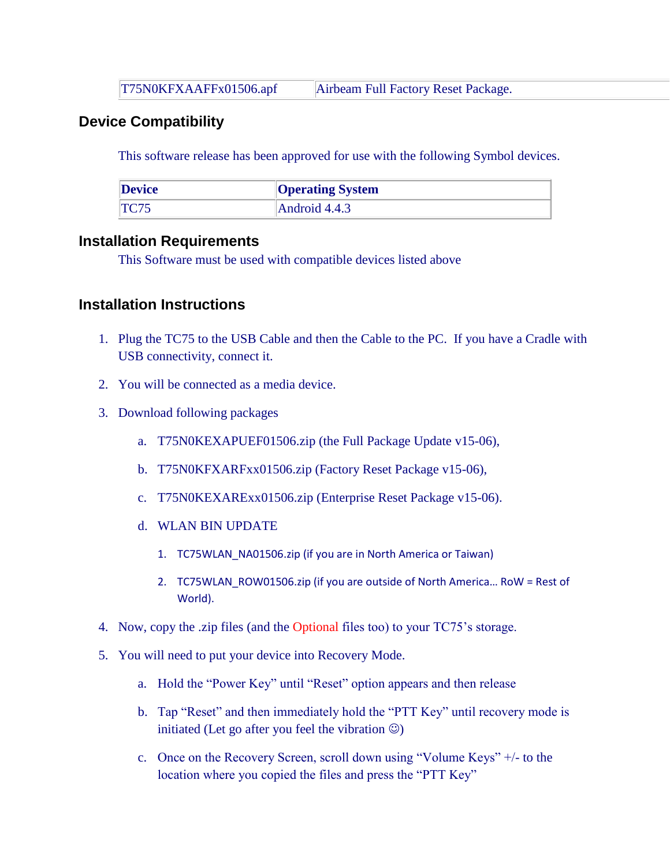T75N0KFXAAFFx01506.apf Airbeam Full Factory Reset Package.

### <span id="page-4-0"></span>**Device Compatibility**

This software release has been approved for use with the following Symbol devices.

| <b>Device</b> | <b>Operating System</b> |
|---------------|-------------------------|
| TC75          | Android $4.4.3$         |

#### <span id="page-4-1"></span>**Installation Requirements**

This Software must be used with compatible devices listed above

### <span id="page-4-2"></span>**Installation Instructions**

- 1. Plug the TC75 to the USB Cable and then the Cable to the PC. If you have a Cradle with USB connectivity, connect it.
- 2. You will be connected as a media device.
- 3. Download following packages
	- a. T75N0KEXAPUEF01506.zip (the Full Package Update v15-06),
	- b. T75N0KFXARFxx01506.zip (Factory Reset Package v15-06),
	- c. T75N0KEXARExx01506.zip (Enterprise Reset Package v15-06).
	- d. WLAN BIN UPDATE
		- 1. TC75WLAN\_NA01506.zip (if you are in North America or Taiwan)
		- 2. TC75WLAN\_ROW01506.zip (if you are outside of North America... RoW = Rest of World).
- 4. Now, copy the .zip files (and the Optional files too) to your TC75's storage.
- 5. You will need to put your device into Recovery Mode.
	- a. Hold the "Power Key" until "Reset" option appears and then release
	- b. Tap "Reset" and then immediately hold the "PTT Key" until recovery mode is initiated (Let go after you feel the vibration  $\circledcirc$ )
	- c. Once on the Recovery Screen, scroll down using "Volume Keys" +/- to the location where you copied the files and press the "PTT Key"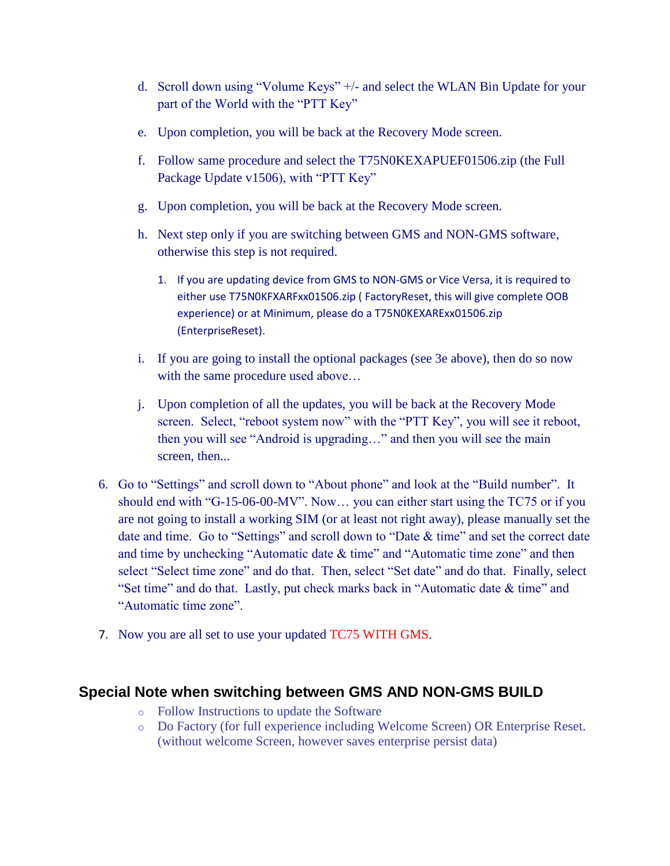- d. Scroll down using "Volume Keys" +/- and select the WLAN Bin Update for your part of the World with the "PTT Key"
- e. Upon completion, you will be back at the Recovery Mode screen.
- f. Follow same procedure and select the T75N0KEXAPUEF01506.zip (the Full Package Update v1506), with "PTT Key"
- g. Upon completion, you will be back at the Recovery Mode screen.
- h. Next step only if you are switching between GMS and NON-GMS software, otherwise this step is not required.
	- 1. If you are updating device from GMS to NON-GMS or Vice Versa, it is required to either use T75N0KFXARFxx01506.zip ( FactoryReset, this will give complete OOB experience) or at Minimum, please do a T75N0KEXARExx01506.zip (EnterpriseReset).
- i. If you are going to install the optional packages (see 3e above), then do so now with the same procedure used above...
- j. Upon completion of all the updates, you will be back at the Recovery Mode screen. Select, "reboot system now" with the "PTT Key", you will see it reboot, then you will see "Android is upgrading…" and then you will see the main screen, then...
- 6. Go to "Settings" and scroll down to "About phone" and look at the "Build number". It should end with "G-15-06-00-MV". Now… you can either start using the TC75 or if you are not going to install a working SIM (or at least not right away), please manually set the date and time. Go to "Settings" and scroll down to "Date & time" and set the correct date and time by unchecking "Automatic date & time" and "Automatic time zone" and then select "Select time zone" and do that. Then, select "Set date" and do that. Finally, select "Set time" and do that. Lastly, put check marks back in "Automatic date & time" and "Automatic time zone".
- 7. Now you are all set to use your updated TC75 WITH GMS.

## **Special Note when switching between GMS AND NON-GMS BUILD**

- o Follow Instructions to update the Software
- o Do Factory (for full experience including Welcome Screen) OR Enterprise Reset. (without welcome Screen, however saves enterprise persist data)